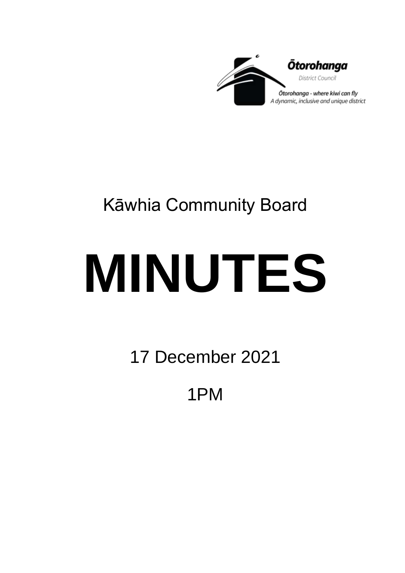

## Kāwhia Community Board

# **MINUTES**

17 December 2021

1PM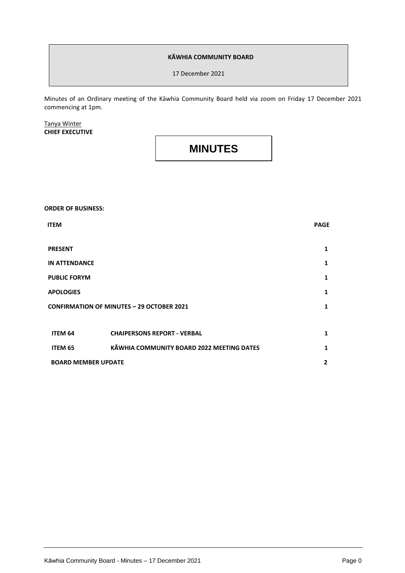#### **KĀWHIA COMMUNITY BOARD**

17 December 2021

Minutes of an Ordinary meeting of the Kāwhia Community Board held via zoom on Friday 17 December 2021 commencing at 1pm.

#### Tanya Winter **CHIEF EXECUTIVE**

### **MINUTES**

#### **ORDER OF BUSINESS:**

| <b>ITEM</b>                                      |                                           | <b>PAGE</b>    |
|--------------------------------------------------|-------------------------------------------|----------------|
| <b>PRESENT</b>                                   |                                           | 1              |
| <b>IN ATTENDANCE</b>                             |                                           | 1              |
| <b>PUBLIC FORYM</b>                              |                                           | 1              |
| <b>APOLOGIES</b>                                 |                                           | 1              |
| <b>CONFIRMATION OF MINUTES - 29 OCTOBER 2021</b> |                                           | $\mathbf{1}$   |
|                                                  |                                           |                |
| ITEM 64                                          | <b>CHAIPERSONS REPORT - VERBAL</b>        | 1              |
| ITEM 65                                          | KĀWHIA COMMUNITY BOARD 2022 MEETING DATES | 1              |
| <b>BOARD MEMBER UPDATE</b>                       |                                           | $\overline{2}$ |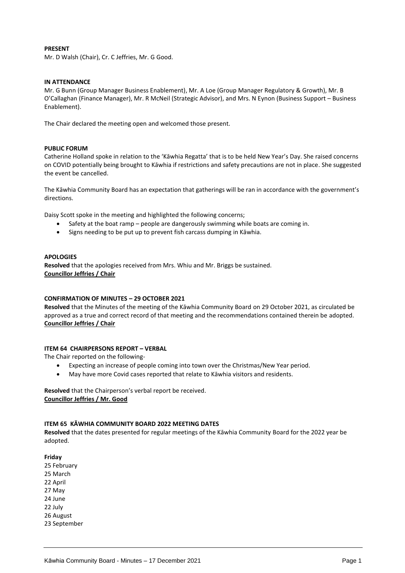#### **PRESENT**

Mr. D Walsh (Chair), Cr. C Jeffries, Mr. G Good.

#### **IN ATTENDANCE**

Mr. G Bunn (Group Manager Business Enablement), Mr. A Loe (Group Manager Regulatory & Growth), Mr. B O'Callaghan (Finance Manager), Mr. R McNeil (Strategic Advisor), and Mrs. N Eynon (Business Support – Business Enablement).

The Chair declared the meeting open and welcomed those present.

#### **PUBLIC FORUM**

Catherine Holland spoke in relation to the 'Kāwhia Regatta' that is to be held New Year's Day. She raised concerns on COVID potentially being brought to Kāwhia if restrictions and safety precautions are not in place. She suggested the event be cancelled.

The Kāwhia Community Board has an expectation that gatherings will be ran in accordance with the government's directions.

Daisy Scott spoke in the meeting and highlighted the following concerns;

- Safety at the boat ramp people are dangerously swimming while boats are coming in.
- Signs needing to be put up to prevent fish carcass dumping in Kāwhia.

#### **APOLOGIES**

**Resolved** that the apologies received from Mrs. Whiu and Mr. Briggs be sustained. **Councillor Jeffries / Chair**

#### **CONFIRMATION OF MINUTES – 29 OCTOBER 2021**

**Resolved** that the Minutes of the meeting of the Kāwhia Community Board on 29 October 2021, as circulated be approved as a true and correct record of that meeting and the recommendations contained therein be adopted. **Councillor Jeffries / Chair**

#### **ITEM 64 CHAIRPERSONS REPORT – VERBAL**

The Chair reported on the following-

- Expecting an increase of people coming into town over the Christmas/New Year period.
- May have more Covid cases reported that relate to Kāwhia visitors and residents.

**Resolved** that the Chairperson's verbal report be received. **Councillor Jeffries / Mr. Good**

#### **ITEM 65 KĀWHIA COMMUNITY BOARD 2022 MEETING DATES**

**Resolved** that the dates presented for regular meetings of the Kāwhia Community Board for the 2022 year be adopted.

**Friday**

- 25 February 25 March
- 22 April
- 27 May
- 24 June
- 22 July
- 26 August
- 23 September